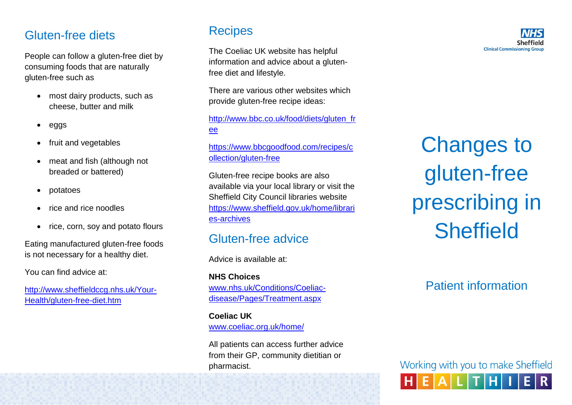### Gluten -free diets

People can follow a gluten -free diet by consuming foods that are naturally gluten -free such as

- most dairy products, such as cheese, butter and milk
- eggs
- fruit and vegetables
- meat and fish (although not breaded or battered)
- potatoes
- rice and rice noodles
- rice, corn, soy and potato flours

Eating manufactured gluten -free foods is not necessary for a healthy diet.

You can find advice at:

[http://www.sheffieldccg.nhs.uk/Your](http://www.sheffieldccg.nhs.uk/Your-Health/gluten-free-diet.htm)-[Health/gluten](http://www.sheffieldccg.nhs.uk/Your-Health/gluten-free-diet.htm)-free-diet.htm

#### **Recipes**

The Coeliac UK website has helpful information and advice about a gluten free diet and lifestyle.

There are various other websites which provide gluten -free recipe ideas:

[http://www.bbc.co.uk/food/diets/gluten\\_fr](http://www.bbc.co.uk/food/diets/gluten_free) [ee](http://www.bbc.co.uk/food/diets/gluten_free)

#### [https://www.bbcgoodfood.com/recipes/c](https://www.bbcgoodfood.com/recipes/collection/gluten-free) [ollection/gluten](https://www.bbcgoodfood.com/recipes/collection/gluten-free) -free

Gluten -free recipe books are also available via your local library or visit the Sheffield City Council libraries website [https://www.sheffield.gov.uk/home/librari](https://www.sheffield.gov.uk/home/libraries-archives) es [-archives](https://www.sheffield.gov.uk/home/libraries-archives)

#### Gluten -free advice

Advice is available at:

**NHS Choices**  [www.nhs.uk/Conditions/Coeliac](http://www.nhs.uk/Conditions/Coeliac-disease/Pages/Treatment.aspx)[disease/Pages/Treatment.aspx](http://www.nhs.uk/Conditions/Coeliac-disease/Pages/Treatment.aspx)

**Coeliac UK**  [www.coeliac.org.uk/home/](http://www.coeliac.org.uk/home/)

All patients can access further advice from their GP, community dietitian or pharmacist.

Changes to gluten -free prescribing in **Sheffield** 

## Patient information